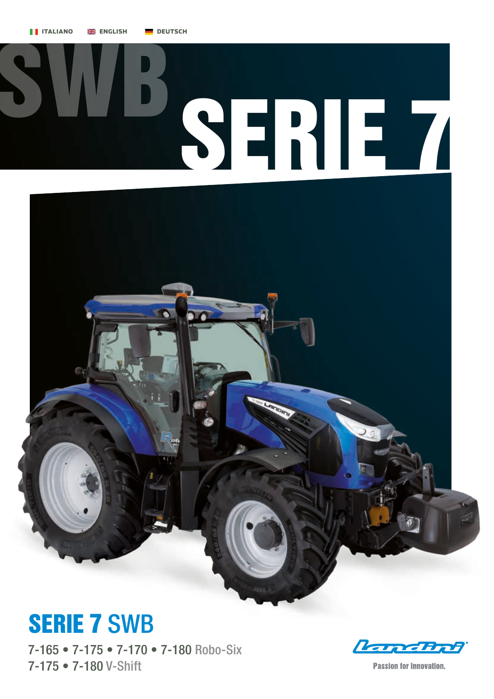



## SERIE 7 SWB

7-165 • 7-175 • 7-170 • 7-180 Robo-Six 7-175 • 7-180 V-Shift

**Land Bol** 

**Passion for Innovation.**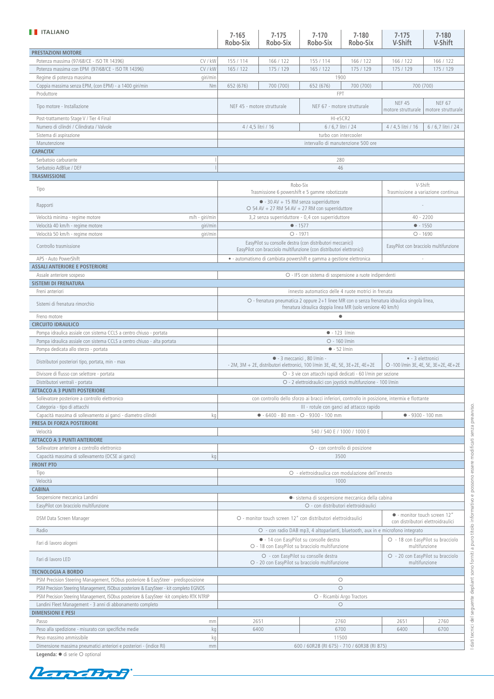| <b>TELESTION</b>                                                                                                                                                                  | $7 - 165$<br>Robo-Six                                                                                                                                                            | $7 - 175$<br>Robo-Six       | $7 - 170$<br>Robo-Six                                                                                                             | $7 - 180$<br>Robo-Six                                           | $7 - 175$<br>V-Shift                  | $7 - 180$<br>V-Shift                |
|-----------------------------------------------------------------------------------------------------------------------------------------------------------------------------------|----------------------------------------------------------------------------------------------------------------------------------------------------------------------------------|-----------------------------|-----------------------------------------------------------------------------------------------------------------------------------|-----------------------------------------------------------------|---------------------------------------|-------------------------------------|
| <b>PRESTAZIONI MOTORE</b>                                                                                                                                                         |                                                                                                                                                                                  |                             |                                                                                                                                   |                                                                 |                                       |                                     |
| CV / kW<br>Potenza massima (97/68/CE - ISO TR 14396)                                                                                                                              | 155 / 114                                                                                                                                                                        | 166 / 122                   | 155 / 114                                                                                                                         | 166 / 122                                                       | 166 / 122                             | 166 / 122                           |
| Potenza massima con EPM (97/68/CE - ISO TR 14396)<br>CV / kW<br>Regime di potenza massima<br>giri/min                                                                             | 165 / 122                                                                                                                                                                        | 175 / 129                   | 165 / 122<br>1900                                                                                                                 | 175 / 129                                                       | 175 / 129                             | 175 / 129                           |
| Coppia massima senza EPM, (con EPM) - a 1400 giri/min<br>Nm                                                                                                                       | 652 (676)                                                                                                                                                                        | 700 (700)                   | 652 (676)                                                                                                                         | 700 (700)                                                       | 700 (700)                             |                                     |
| Produttore                                                                                                                                                                        |                                                                                                                                                                                  |                             | <b>FPT</b>                                                                                                                        |                                                                 |                                       |                                     |
| Tipo motore - Installazione                                                                                                                                                       |                                                                                                                                                                                  | NEF 45 - motore strutturale | NEF 67 - motore strutturale                                                                                                       |                                                                 | <b>NEF 45</b><br>motore strutturale   | <b>NEF 67</b><br>motore strutturale |
| Post-trattamento Stage V / Tier 4 Final                                                                                                                                           |                                                                                                                                                                                  |                             | HI-eSCR2                                                                                                                          |                                                                 |                                       |                                     |
| Numero di cilindri / Cilindrata / Valvole                                                                                                                                         |                                                                                                                                                                                  | 4 / 4,5 litri / 16          | 6 / 6,7 litri / 24                                                                                                                |                                                                 | 4 / 4,5 litri / 16                    | 6 / 6,7 litri / 24                  |
| Sistema di aspirazione                                                                                                                                                            |                                                                                                                                                                                  |                             | turbo con intercooler<br>intervallo di manutenzione 500 ore                                                                       |                                                                 |                                       |                                     |
| Manutenzione<br><b>CAPACITA'</b>                                                                                                                                                  |                                                                                                                                                                                  |                             |                                                                                                                                   |                                                                 |                                       |                                     |
| Serbatoio carburante                                                                                                                                                              |                                                                                                                                                                                  |                             |                                                                                                                                   | 280                                                             |                                       |                                     |
| Serbatoio AdBlue / DEF                                                                                                                                                            |                                                                                                                                                                                  |                             | 46                                                                                                                                |                                                                 |                                       |                                     |
| <b>TRASMISSIONE</b>                                                                                                                                                               |                                                                                                                                                                                  |                             |                                                                                                                                   |                                                                 |                                       |                                     |
| Tipo                                                                                                                                                                              | Robo-Six<br>Trasmissione 6 powershift e 5 gamme robotizzate                                                                                                                      |                             |                                                                                                                                   | V-Shift<br>Trasmissione a variazione continua                   |                                       |                                     |
| Rapporti                                                                                                                                                                          | $\bullet$ - 30 AV + 15 RM senza superriduttore<br>$O$ 54 AV + 27 RM 54 AV + 27 RM con superriduttore                                                                             |                             |                                                                                                                                   |                                                                 |                                       |                                     |
| Velocità minima - regime motore<br>m/h - giri/min                                                                                                                                 |                                                                                                                                                                                  |                             | 3,2 senza superriduttore - 0,4 con superriduttore                                                                                 |                                                                 | $40 - 2200$                           |                                     |
| Velocità 40 km/h - regime motore<br>giri/min                                                                                                                                      |                                                                                                                                                                                  |                             | $• - 1577$                                                                                                                        |                                                                 | $-1550$                               |                                     |
| Velocità 50 km/h - regime motore<br>giri/min                                                                                                                                      |                                                                                                                                                                                  |                             | $O - 1971$                                                                                                                        |                                                                 | $O - 1690$                            |                                     |
| Controllo trasmissione                                                                                                                                                            |                                                                                                                                                                                  |                             | EasyPilot su consolle destra (con distributori meccanici)<br>EasyPilot con bracciolo multifunzione (con distributori elettronici) |                                                                 | EasyPilot con bracciolo multifunzione |                                     |
| APS - Auto PowerShift<br><b>ASSALI ANTERIORE E POSTERIORE</b>                                                                                                                     |                                                                                                                                                                                  |                             | · automatismo di cambiata powershift e gamma a gestione elettronica                                                               |                                                                 |                                       |                                     |
| Assale anteriore sospeso                                                                                                                                                          |                                                                                                                                                                                  |                             | O - IFS con sistema di sospensione a ruote indipendenti                                                                           |                                                                 |                                       |                                     |
| <b>SISTEMI DI FRENATURA</b>                                                                                                                                                       |                                                                                                                                                                                  |                             |                                                                                                                                   |                                                                 |                                       |                                     |
| Freni anteriori                                                                                                                                                                   |                                                                                                                                                                                  |                             | innesto automatico delle 4 ruote motrici in frenata                                                                               |                                                                 |                                       |                                     |
| Sistemi di frenatura rimorchio                                                                                                                                                    | O - frenatura pneumatica 2 oppure 2+1 linee MR con o senza frenatura idraulica singola linea,<br>frenatura idraulica doppia linea MR (solo versione 40 km/h)                     |                             |                                                                                                                                   |                                                                 |                                       |                                     |
| Freno motore                                                                                                                                                                      |                                                                                                                                                                                  |                             | ٠                                                                                                                                 |                                                                 |                                       |                                     |
| <b>CIRCUITO IDRAULICO</b>                                                                                                                                                         |                                                                                                                                                                                  |                             |                                                                                                                                   |                                                                 |                                       |                                     |
| Pompa idraulica assiale con sistema CCLS a centro chiuso - portata<br>Pompa idraulica assiale con sistema CCLS a centro chiuso - alta portata                                     |                                                                                                                                                                                  |                             | O - 160 l/min                                                                                                                     | $-123$ l/min                                                    |                                       |                                     |
| Pompa dedicata allo sterzo - portata                                                                                                                                              |                                                                                                                                                                                  |                             | $-52$ l/min                                                                                                                       |                                                                 |                                       |                                     |
| Distributori posteriori tipo, portata, min - max                                                                                                                                  | $\bullet$ - 3 meccanici, 80 l/min -<br>· - 3 elettronici<br>O -100 l/min 3E, 4E, 5E, 3E+2E, 4E+2E<br>- 2M, 3M + 2E, distributori elettronici, 100 l/min 3E, 4E, 5E, 3E+2E, 4E+2E |                             |                                                                                                                                   |                                                                 |                                       |                                     |
| Divisore di flusso con selettore - portata                                                                                                                                        |                                                                                                                                                                                  |                             | O - 3 vie con attacchi rapidi dedicati - 60 l/min per sezione                                                                     |                                                                 |                                       |                                     |
| Distributori ventrali - portata                                                                                                                                                   |                                                                                                                                                                                  |                             | O - 2 elettroidraulici con joystick multifunzione - 100 l/min                                                                     |                                                                 |                                       |                                     |
| ATTACCO A 3 PUNTI POSTERIORE                                                                                                                                                      |                                                                                                                                                                                  |                             |                                                                                                                                   |                                                                 |                                       |                                     |
| Sollevatore posteriore a controllo elettronico                                                                                                                                    | con controllo dello sforzo ai bracci inferiori, controllo in posizione, intermix e flottante                                                                                     |                             |                                                                                                                                   |                                                                 |                                       |                                     |
| Categoria - tipo di attacchi<br>Capacità massima di sollevamento ai ganci - diametro cilindri<br>kg                                                                               | III - rotule con ganci ad attacco rapido<br>$\bullet$ - 6400 - 80 mm - $\circ$ - 9300 - 100 mm                                                                                   |                             |                                                                                                                                   | $• - 9300 - 100$ mm                                             |                                       |                                     |
| PRESA DI FORZA POSTERIORE                                                                                                                                                         |                                                                                                                                                                                  |                             |                                                                                                                                   |                                                                 |                                       |                                     |
| Velocità                                                                                                                                                                          |                                                                                                                                                                                  |                             | 540 / 540 E / 1000 / 1000 E                                                                                                       |                                                                 |                                       |                                     |
| <b>ATTACCO A 3 PUNTI ANTERIORE</b>                                                                                                                                                |                                                                                                                                                                                  |                             |                                                                                                                                   |                                                                 |                                       |                                     |
| Sollevatore anteriore a controllo elettronico                                                                                                                                     | O - con controllo di posizione                                                                                                                                                   |                             |                                                                                                                                   |                                                                 |                                       |                                     |
| Capacità massima di sollevamento (OCSE ai ganci)<br>kg<br><b>FRONT PTO</b>                                                                                                        | 3500                                                                                                                                                                             |                             |                                                                                                                                   |                                                                 |                                       |                                     |
| Tipo                                                                                                                                                                              |                                                                                                                                                                                  |                             |                                                                                                                                   |                                                                 |                                       |                                     |
| Velocità                                                                                                                                                                          | O - elettroidraulica con modulazione dell'innesto<br>1000                                                                                                                        |                             |                                                                                                                                   |                                                                 |                                       |                                     |
| <b>CABINA</b>                                                                                                                                                                     |                                                                                                                                                                                  |                             |                                                                                                                                   |                                                                 |                                       |                                     |
| Sospensione meccanica Landini                                                                                                                                                     |                                                                                                                                                                                  |                             | · sistema di sospensione meccanica della cabina                                                                                   |                                                                 |                                       |                                     |
| EasyPilot con bracciolo multifunzione                                                                                                                                             | O - con distributori elettroidraulici                                                                                                                                            |                             |                                                                                                                                   |                                                                 |                                       |                                     |
| DSM Data Screen Manager                                                                                                                                                           | O - monitor touch screen 12" con distributori elettroidraulici                                                                                                                   |                             |                                                                                                                                   | · monitor touch screen 12"<br>con distributori elettroidraulici |                                       |                                     |
| Radio                                                                                                                                                                             | O - con radio DAB mp3, 4 altoparlanti, bluetooth, aux in e microfono integrato                                                                                                   |                             |                                                                                                                                   |                                                                 |                                       |                                     |
| Fari di lavoro alogeni                                                                                                                                                            | · 14 con EasyPilot su consolle destra<br>O - 18 con EasyPilot su bracciolo multifunzione                                                                                         |                             |                                                                                                                                   | O - 18 con EasyPilot su bracciolo<br>multifunzione              |                                       |                                     |
| Fari di lavoro LED                                                                                                                                                                | O - con EasyPilot su consolle destra<br>O - 20 con EasyPilot su bracciolo multifunzione                                                                                          |                             |                                                                                                                                   | O - 20 con EasyPilot su bracciolo<br>multifunzione              |                                       |                                     |
| <b>TECNOLOGIA A BORDO</b>                                                                                                                                                         |                                                                                                                                                                                  |                             |                                                                                                                                   |                                                                 |                                       |                                     |
| PSM Precision Steering Management, ISObus posteriore & EazySteer - predisposizione                                                                                                | О                                                                                                                                                                                |                             |                                                                                                                                   |                                                                 |                                       |                                     |
| PSM Precision Steering Management, ISObus posteriore & EazySteer - kit completo EGNOS<br>PSM Precision Steering Management, ISObus posteriore & EazySteer -kit completo RTK NTRIP | $\circ$<br>O - Ricambi Argo Tractors                                                                                                                                             |                             |                                                                                                                                   |                                                                 |                                       |                                     |
| Landini Fleet Management - 3 anni di abbonamento completo                                                                                                                         |                                                                                                                                                                                  |                             | $\circ$                                                                                                                           |                                                                 |                                       |                                     |
| <b>DIMENSIONI E PESI</b>                                                                                                                                                          |                                                                                                                                                                                  |                             |                                                                                                                                   |                                                                 |                                       |                                     |
| Passo<br>mm                                                                                                                                                                       |                                                                                                                                                                                  | 2651                        | 2760                                                                                                                              |                                                                 | 2651                                  | 2760                                |
| Peso alla spedizione - misurato con specifiche medie<br>kg                                                                                                                        |                                                                                                                                                                                  | 6400                        | 6700                                                                                                                              |                                                                 | 6400                                  | 6700                                |
| Peso massimo ammissibile                                                                                                                                                          | 11500<br>kg                                                                                                                                                                      |                             |                                                                                                                                   |                                                                 |                                       |                                     |
| Dimensione massima pneumatici anteriori e posteriori - (indice RI)<br>mm<br>Legenda: · di serie O optional                                                                        |                                                                                                                                                                                  |                             | 600 / 60R28 (RI 675) - 710 / 60R38 (RI 875)                                                                                       |                                                                 |                                       |                                     |

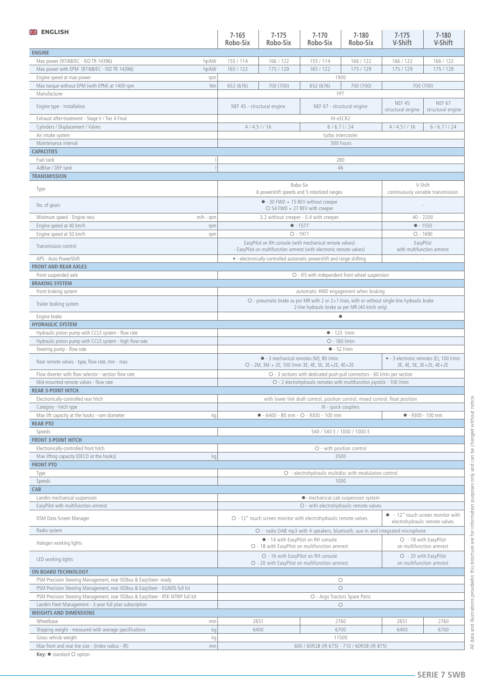| <b>ENGLISH</b>                                                                           | $7 - 165$<br>Robo-Six                                                                                                                                                                      | $7 - 175$<br>Robo-Six                                                                                                           | $7 - 170$<br>Robo-Six                                                 | $7 - 180$<br>Robo-Six          | $7 - 175$<br>V-Shift                                                | $7 - 180$<br>V-Shift               |
|------------------------------------------------------------------------------------------|--------------------------------------------------------------------------------------------------------------------------------------------------------------------------------------------|---------------------------------------------------------------------------------------------------------------------------------|-----------------------------------------------------------------------|--------------------------------|---------------------------------------------------------------------|------------------------------------|
| <b>ENGINE</b>                                                                            |                                                                                                                                                                                            |                                                                                                                                 |                                                                       |                                |                                                                     |                                    |
| Max power (97/68/EC - ISO TR 14396)<br>hp/kW                                             | 155 / 114                                                                                                                                                                                  | 166 / 122                                                                                                                       | 155 / 114                                                             | 166 / 122                      | 166 / 122                                                           | 166 / 122                          |
| Max power with EPM (97/68/EC - ISO TR 14396)<br>hp/kW                                    | 165 / 122                                                                                                                                                                                  | 175 / 129                                                                                                                       | 165 / 122<br>1900                                                     | 175 / 129                      | 175 / 129                                                           | 175 / 129                          |
| Engine speed at max power<br>rpm<br>Max torque without EPM (with EPM) at 1400 rpm<br>Nm  | 652 (676)                                                                                                                                                                                  | 700 (700)                                                                                                                       | 652 (676)                                                             | 700 (700)                      | 700 (700)                                                           |                                    |
| Manufacturer                                                                             |                                                                                                                                                                                            |                                                                                                                                 | FPT                                                                   |                                |                                                                     |                                    |
| Engine type - Installation                                                               |                                                                                                                                                                                            | NEF 45 - structural engine                                                                                                      | NEF 67 - structural engine                                            |                                | <b>NEF 45</b><br>structural engine                                  | <b>NEF 67</b><br>structural engine |
| Exhaust after-treatment - Stage V / Tier 4 Final                                         |                                                                                                                                                                                            |                                                                                                                                 | HI-eSCR2                                                              |                                |                                                                     |                                    |
| Cylinders / Displacement / Valves                                                        |                                                                                                                                                                                            | $4/4.5$ $1/16$                                                                                                                  | $6/6.7$ $1/24$                                                        |                                | $4/4.5$ $1/16$                                                      | $6/6.7$ $1/24$                     |
| Air intake system<br>Maintenance interval                                                |                                                                                                                                                                                            |                                                                                                                                 | turbo intercooler                                                     | 500 hours                      |                                                                     |                                    |
| <b>CAPACITIES</b>                                                                        |                                                                                                                                                                                            |                                                                                                                                 |                                                                       |                                |                                                                     |                                    |
| Fuel tank                                                                                |                                                                                                                                                                                            |                                                                                                                                 | 280                                                                   |                                |                                                                     |                                    |
| AdBlue / DEF tank                                                                        |                                                                                                                                                                                            |                                                                                                                                 | 46                                                                    |                                |                                                                     |                                    |
| <b>TRANSMISSION</b>                                                                      |                                                                                                                                                                                            |                                                                                                                                 |                                                                       |                                |                                                                     |                                    |
| Type                                                                                     |                                                                                                                                                                                            | Robo-Six<br>6 powershift speeds and 5 robotized ranges                                                                          |                                                                       |                                | V-Shift<br>continuously variable transmission                       |                                    |
| No. of gears                                                                             | $\bullet$ - 30 FWD + 15 REV without creeper<br>$O$ 54 FWD + 27 REV with creeper                                                                                                            |                                                                                                                                 |                                                                       |                                |                                                                     |                                    |
| Minimum speed - Engine revs<br>$m/h$ - rpm<br>Engine speed at 40 km/h                    |                                                                                                                                                                                            | 3.2 without creeper - 0.4 with creeper<br>• 1577                                                                                |                                                                       |                                | $40 - 2200$<br>$• - 1550$                                           |                                    |
| rpm<br>Engine speed at 50 km/h<br>rpm                                                    |                                                                                                                                                                                            | $O - 1971$                                                                                                                      |                                                                       |                                | $O - 1690$                                                          |                                    |
| Transmission control                                                                     |                                                                                                                                                                                            | EasyPilot on RH console (with mechanical remote valves)<br>- EasyPilot on multifunction armrest (with electronic remote valves) |                                                                       |                                | EasyPilot<br>with multifunction armrest                             |                                    |
| APS - Auto PowerShift                                                                    |                                                                                                                                                                                            |                                                                                                                                 | • - electronically-controlled automatic powershift and range shifting |                                |                                                                     |                                    |
| <b>FRONT AND REAR AXLES</b>                                                              |                                                                                                                                                                                            |                                                                                                                                 |                                                                       |                                |                                                                     |                                    |
| Front suspended axle                                                                     |                                                                                                                                                                                            |                                                                                                                                 | O - IFS with independent front wheel suspension                       |                                |                                                                     |                                    |
| <b>BRAKING SYSTEM</b><br>Front braking system                                            |                                                                                                                                                                                            |                                                                                                                                 |                                                                       |                                |                                                                     |                                    |
| Trailer braking system                                                                   | automatic 4WD engagement when braking<br>O - pneumatic brake as per MR with 2 or 2+1 lines, with or without single-line hydraulic brake<br>2-line hydraulic brake as per MR (40 km/h only) |                                                                                                                                 |                                                                       |                                |                                                                     |                                    |
| Engine brake                                                                             |                                                                                                                                                                                            |                                                                                                                                 | $\bullet$                                                             |                                |                                                                     |                                    |
| <b>HYDRAULIC SYSTEM</b>                                                                  |                                                                                                                                                                                            |                                                                                                                                 |                                                                       |                                |                                                                     |                                    |
| Hydraulic piston pump with CCLS system - flow rate                                       |                                                                                                                                                                                            |                                                                                                                                 | $-123$ l/min                                                          |                                |                                                                     |                                    |
| Hydraulic piston pump with CCLS system - high flow rate<br>Steering pump - flow rate     |                                                                                                                                                                                            |                                                                                                                                 | O - 160 l/min<br>$-52$ l/min                                          |                                |                                                                     |                                    |
| Rear remote valves - type, flow rate, min - max                                          | • - 3 mechanical remotes (M), 80 l/min<br>O - 2M, 3M + 2E, 100 l/min 3E, 4E, 5E, 3E+2E, 4E+2E                                                                                              |                                                                                                                                 |                                                                       |                                | • - 3 electronic remotes (E), 100 l/min<br>3E, 4E, 5E, 3E+2E, 4E+2E |                                    |
| Flow diverter with flow selector - section flow rate                                     | O - 3 sections with dedicated push-pull connectors - 60 l/min per section                                                                                                                  |                                                                                                                                 |                                                                       |                                |                                                                     |                                    |
| Mid-mounted remote valves - flow rate                                                    | O - 2 electrohydraulic remotes with multifunction joystick - 100 l/min                                                                                                                     |                                                                                                                                 |                                                                       |                                |                                                                     |                                    |
| <b>REAR 3-POINT HITCH</b>                                                                |                                                                                                                                                                                            |                                                                                                                                 |                                                                       |                                |                                                                     |                                    |
| Electronically-controlled rear hitch                                                     | with lower link draft control, position control, mixed control, float position                                                                                                             |                                                                                                                                 |                                                                       |                                |                                                                     |                                    |
| Category - hitch type<br>Max lift capacity at the hooks - ram diameter<br>kg             | III - quick couplers<br>$-6400 - 80$ mm $ O - 9300 - 100$ mm                                                                                                                               |                                                                                                                                 | $-9300 - 100$ mm                                                      |                                |                                                                     |                                    |
| <b>REAR PTO</b>                                                                          |                                                                                                                                                                                            |                                                                                                                                 |                                                                       |                                |                                                                     |                                    |
| Speeds                                                                                   | 540 / 540 E / 1000 / 1000 E                                                                                                                                                                |                                                                                                                                 |                                                                       |                                |                                                                     |                                    |
| <b>FRONT 3-POINT HITCH</b>                                                               |                                                                                                                                                                                            |                                                                                                                                 |                                                                       |                                |                                                                     |                                    |
| Electronically-controlled front hitch<br>Max lifting capacity (OECD at the hooks)<br>kg  |                                                                                                                                                                                            |                                                                                                                                 | O - with position control<br>3500                                     |                                |                                                                     |                                    |
| <b>FRONT PTO</b>                                                                         |                                                                                                                                                                                            |                                                                                                                                 |                                                                       |                                |                                                                     |                                    |
| Type                                                                                     | O - electrohydraulic multidisc with modulation control                                                                                                                                     |                                                                                                                                 |                                                                       |                                |                                                                     |                                    |
| Speeds                                                                                   | 1000                                                                                                                                                                                       |                                                                                                                                 |                                                                       |                                |                                                                     |                                    |
| CAB                                                                                      |                                                                                                                                                                                            |                                                                                                                                 |                                                                       |                                |                                                                     |                                    |
| Landini mechanical suspension<br>EasyPilot with multifunction armrest                    | • mechanical cab suspension system<br>O - with electrohydraulic remote valves                                                                                                              |                                                                                                                                 |                                                                       |                                |                                                                     |                                    |
|                                                                                          |                                                                                                                                                                                            |                                                                                                                                 |                                                                       |                                | • - 12" touch screen monitor with                                   |                                    |
| DSM Data Screen Manager                                                                  | O - 12" touch screen monitor with electrohydraulic remote valves                                                                                                                           |                                                                                                                                 |                                                                       | electrohydraulic remote valves |                                                                     |                                    |
| Radio system                                                                             | O - radio DAB mp3 with 4 speakers, bluetooth, aux-in and integrated microphone<br>• - 14 with EasyPilot on RH console                                                                      |                                                                                                                                 | O - 18 with EasyPilot                                                 |                                |                                                                     |                                    |
| Halogen working lights                                                                   | O - 18 with EasyPilot on multifunction armrest                                                                                                                                             |                                                                                                                                 | on multifunction armrest<br>O - 20 with EasyPilot                     |                                |                                                                     |                                    |
| LED working lights                                                                       | O - 16 with EasyPilot on RH console<br>O - 20 with EasyPilot on multifunction armrest<br>on multifunction armrest                                                                          |                                                                                                                                 |                                                                       |                                |                                                                     |                                    |
| ON BOARD TECHNOLOGY<br>PSM Precision Steering Management, rear ISObus & EazySteer- ready |                                                                                                                                                                                            |                                                                                                                                 | $\circ$                                                               |                                |                                                                     |                                    |
| PSM Precision Steering Management, rear ISObus & EazySteer - EGNOS full kit              | $\circ$                                                                                                                                                                                    |                                                                                                                                 |                                                                       |                                |                                                                     |                                    |
| PSM Precision Steering Management, rear ISObus & EazySteer - RTK NTRIP full kit          | O - Argo Tractors Spare Parts                                                                                                                                                              |                                                                                                                                 |                                                                       |                                |                                                                     |                                    |
| Landini Fleet Management - 3-year full plan subscription                                 |                                                                                                                                                                                            |                                                                                                                                 | $\circ$                                                               |                                |                                                                     |                                    |
| <b>WEIGHTS AND DIMENSIONS</b>                                                            |                                                                                                                                                                                            |                                                                                                                                 |                                                                       |                                |                                                                     |                                    |
| Wheelbase<br>mm<br>Shipping weight - measured with average specifications<br>kg          |                                                                                                                                                                                            | 2651                                                                                                                            | 2760                                                                  |                                | 2651<br>6400                                                        | 2760<br>6700                       |
| Gross vehicle weight<br>kg                                                               | 6400<br>6700<br>11500                                                                                                                                                                      |                                                                                                                                 |                                                                       |                                |                                                                     |                                    |
| Max front and rear tire size - (Index radius - IR)<br>mm                                 | 600 / 60R28 (IR 675) - 710 / 60R38 (IR 875)                                                                                                                                                |                                                                                                                                 |                                                                       |                                |                                                                     |                                    |
| Key: ● standard ○ option                                                                 |                                                                                                                                                                                            |                                                                                                                                 |                                                                       |                                |                                                                     |                                    |